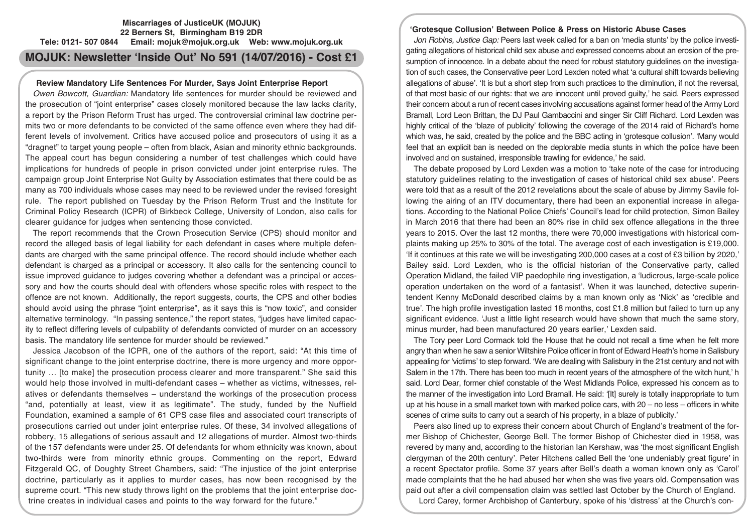# **Miscarriages of JusticeUK (MOJUK) 22 Berners St, Birmingham B19 2DR Tele: 0121- 507 0844 Email: mojuk@mojuk.org.uk Web: www.mojuk.org.uk**

# **MOJUK: Newsletter 'Inside Out' No 591 (14/07/2016) - Cost £1**

### **Review Mandatory Life Sentences For Murder, Says Joint Enterprise Report**

*Owen Bowcott, Guardian:* Mandatory life sentences for murder should be reviewed and the prosecution of "joint enterprise" cases closely monitored because the law lacks clarity, a report by the Prison Reform Trust has urged. The controversial criminal law doctrine permits two or more defendants to be convicted of the same offence even where they had different levels of involvement. Critics have accused police and prosecutors of using it as a "dragnet" to target young people – often from black, Asian and minority ethnic backgrounds. The appeal court has begun considering a number of test challenges which could have implications for hundreds of people in prison convicted under joint enterprise rules. The campaign group Joint Enterprise Not Guilty by Association estimates that there could be as many as 700 individuals whose cases may need to be reviewed under the revised foresight rule. The report published on Tuesday by the Prison Reform Trust and the Institute for Criminal Policy Research (ICPR) of Birkbeck College, University of London, also calls for clearer guidance for judges when sentencing those convicted.

The report recommends that the Crown Prosecution Service (CPS) should monitor and record the alleged basis of legal liability for each defendant in cases where multiple defendants are charged with the same principal offence. The record should include whether each defendant is charged as a principal or accessory. It also calls for the sentencing council to issue improved guidance to judges covering whether a defendant was a principal or accessory and how the courts should deal with offenders whose specific roles with respect to the offence are not known. Additionally, the report suggests, courts, the CPS and other bodies should avoid using the phrase "joint enterprise", as it says this is "now toxic", and consider alternative terminology. "In passing sentence," the report states, "judges have limited capacity to reflect differing levels of culpability of defendants convicted of murder on an accessory basis. The mandatory life sentence for murder should be reviewed."

Jessica Jacobson of the ICPR, one of the authors of the report, said: "At this time of significant change to the joint enterprise doctrine, there is more urgency and more opportunity … [to make] the prosecution process clearer and more transparent." She said this would help those involved in multi-defendant cases – whether as victims, witnesses, relatives or defendants themselves – understand the workings of the prosecution process "and, potentially at least, view it as legitimate". The study, funded by the Nuffield Foundation, examined a sample of 61 CPS case files and associated court transcripts of prosecutions carried out under joint enterprise rules. Of these, 34 involved allegations of robbery, 15 allegations of serious assault and 12 allegations of murder. Almost two-thirds of the 157 defendants were under 25. Of defendants for whom ethnicity was known, about two-thirds were from minority ethnic groups. Commenting on the report, Edward Fitzgerald QC, of Doughty Street Chambers, said: "The injustice of the joint enterprise doctrine, particularly as it applies to murder cases, has now been recognised by the supreme court. "This new study throws light on the problems that the joint enterprise doctrine creates in individual cases and points to the way forward for the future."

#### **'Grotesque Collusion' Between Police & Press on Historic Abuse Cases**

*Jon Robins, Justice Gap:* Peers last week called for a ban on 'media stunts' by the police investigating allegations of historical child sex abuse and expressed concerns about an erosion of the presumption of innocence. In a debate about the need for robust statutory guidelines on the investigation of such cases, the Conservative peer Lord Lexden noted what 'a cultural shift towards believing allegations of abuse'. 'It is but a short step from such practices to the diminution, if not the reversal, of that most basic of our rights: that we are innocent until proved guilty,' he said. Peers expressed their concern about a run of recent cases involving accusations against former head of the Army Lord Bramall, Lord Leon Brittan, the DJ Paul Gambaccini and singer Sir Cliff Richard. Lord Lexden was highly critical of the 'blaze of publicity' following the coverage of the 2014 raid of Richard's home which was, he said, created by the police and the BBC acting in 'grotesque collusion'. 'Many would feel that an explicit ban is needed on the deplorable media stunts in which the police have been involved and on sustained, irresponsible trawling for evidence,' he said.

The debate proposed by Lord Lexden was a motion to 'take note of the case for introducing statutory guidelines relating to the investigation of cases of historical child sex abuse'. Peers were told that as a result of the 2012 revelations about the scale of abuse by Jimmy Savile following the airing of an ITV documentary, there had been an exponential increase in allegations. According to the National Police Chiefs' Council's lead for child protection, Simon Bailey in March 2016 that there had been an 80% rise in child sex offence allegations in the three years to 2015. Over the last 12 months, there were 70,000 investigations with historical complaints making up 25% to 30% of the total. The average cost of each investigation is £19,000. 'If it continues at this rate we will be investigating 200,000 cases at a cost of £3 billion by 2020,' Bailey said. Lord Lexden, who is the official historian of the Conservative party, called Operation Midland, the failed VIP paedophile ring investigation, a 'ludicrous, large-scale police operation undertaken on the word of a fantasist'. When it was launched, detective superintendent Kenny McDonald described claims by a man known only as 'Nick' as 'credible and true'. The high profile investigation lasted 18 months, cost £1.8 million but failed to turn up any significant evidence. 'Just a little light research would have shown that much the same story, minus murder, had been manufactured 20 years earlier,' Lexden said.

The Tory peer Lord Cormack told the House that he could not recall a time when he felt more angry than when he saw a senior Wiltshire Police officer in front of Edward Heath's home in Salisbury appealing for 'victims' to step forward. 'We are dealing with Salisbury in the 21st century and not with Salem in the 17th. There has been too much in recent years of the atmosphere of the witch hunt,' h said. Lord Dear, former chief constable of the West Midlands Police, expressed his concern as to the manner of the investigation into Lord Bramall. He said: '[It] surely is totally inappropriate to turn up at his house in a small market town with marked police cars, with 20 – no less – officers in white scenes of crime suits to carry out a search of his property, in a blaze of publicity.'

Peers also lined up to express their concern about Church of England's treatment of the former Bishop of Chichester, George Bell. The former Bishop of Chichester died in 1958, was revered by many and, according to the historian Ian Kershaw, was 'the most significant English clergyman of the 20th century'. Peter Hitchens called Bell the 'one undeniably great figure' in a recent Spectator profile. Some 37 years after Bell's death a woman known only as 'Carol' made complaints that the he had abused her when she was five years old. Compensation was paid out after a civil compensation claim was settled last October by the Church of England.

Lord Carey, former Archbishop of Canterbury, spoke of his 'distress' at the Church's con-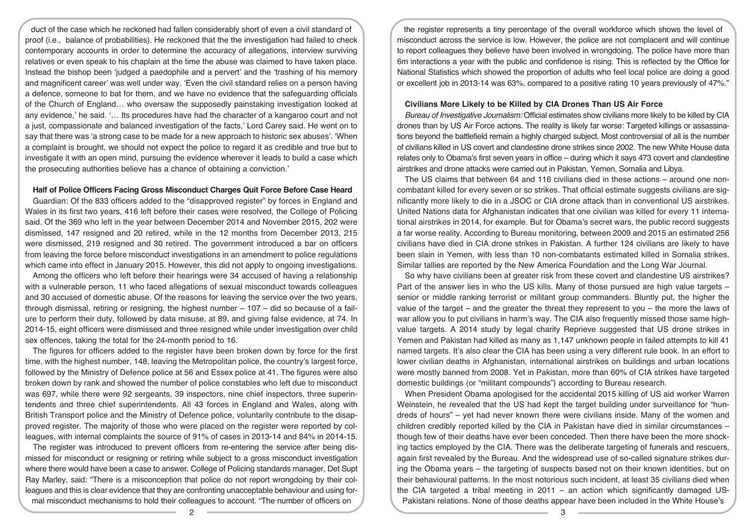duct of the case which he reckoned had fallen considerably short of even a civil standard of proof (i.e., balance of probabilities). He reckoned that the the investigation had failed to check contemporary accounts in order to determine the accuracy of allegations, interview surviving relatives or even speak to his chaplain at the time the abuse was claimed to have taken place. Instead the bishop been 'judged a paedophile and a pervert' and the 'trashing of his memory and magnificent career' was well under way. 'Even the civil standard relies on a person having a defence, someone to bat for them, and we have no evidence that the safeguarding officials of the Church of England… who oversaw the supposedly painstaking investigation looked at any evidence,' he said. '… Its procedures have had the character of a kangaroo court and not a just, compassionate and balanced investigation of the facts,' Lord Carey said. He went on to say that there was 'a strong case to be made for a new approach to historic sex abuses'. 'When a complaint is brought, we should not expect the police to regard it as credible and true but to investigate it with an open mind, pursuing the evidence wherever it leads to build a case which the prosecuting authorities believe has a chance of obtaining a conviction.'

#### **Half of Police Officers Facing Gross Misconduct Charges Quit Force Before Case Heard**

Guardian: Of the 833 officers added to the "disapproved register" by forces in England and Wales in its first two years, 416 left before their cases were resolved, the College of Policing said. Of the 369 who left in the year between December 2014 and November 2015, 202 were dismissed, 147 resigned and 20 retired, while in the 12 months from December 2013, 215 were dismissed, 219 resigned and 30 retired. The government introduced a bar on officers from leaving the force before misconduct investigations in an amendment to police regulations which came into effect in January 2015. However, this did not apply to ongoing investigations.

Among the officers who left before their hearings were 34 accused of having a relationship with a vulnerable person, 11 who faced allegations of sexual misconduct towards colleagues and 30 accused of domestic abuse. Of the reasons for leaving the service over the two years, through dismissal, retiring or resigning, the highest number – 107 – did so because of a failure to perform their duty, followed by data misuse, at 89, and giving false evidence, at 74. In 2014-15, eight officers were dismissed and three resigned while under investigation over child sex offences, taking the total for the 24-month period to 16.

The figures for officers added to the register have been broken down by force for the first time, with the highest number, 148, leaving the Metropolitan police, the country's largest force, followed by the Ministry of Defence police at 56 and Essex police at 41. The figures were also broken down by rank and showed the number of police constables who left due to misconduct was 697, while there were 92 sergeants, 39 inspectors, nine chief inspectors, three superintendents and three chief superintendents. All 43 forces in England and Wales, along with British Transport police and the Ministry of Defence police, voluntarily contribute to the disapproved register. The majority of those who were placed on the register were reported by colleagues, with internal complaints the source of 91% of cases in 2013-14 and 84% in 2014-15.

The register was introduced to prevent officers from re-entering the service after being dismissed for misconduct or resigning or retiring while subject to a gross misconduct investigation where there would have been a case to answer. College of Policing standards manager, Det Supt Ray Marley, said: "There is a misconception that police do not report wrongdoing by their colleagues and this is clear evidence that they are confronting unacceptable behaviour and using formal misconduct mechanisms to hold their colleagues to account. "The number of officers on

the register represents a tiny percentage of the overall workforce which shows the level of misconduct across the service is low. However, the police are not complacent and will continue to report colleagues they believe have been involved in wrongdoing. The police have more than 6m interactions a year with the public and confidence is rising. This is reflected by the Office for National Statistics which showed the proportion of adults who feel local police are doing a good or excellent job in 2013-14 was 63%, compared to a positive rating 10 years previously of 47%."

# **Civilians More Likely to be Killed by CIA Drones Than US Air Force**

*Bureau of Investigative Journalism:* Official estimates show civilians more likely to be killed by CIA drones than by US Air Force actions. The reality is likely far worse: Targeted killings or assassinations beyond the battlefield remain a highly charged subject. Most controversial of all is the number of civilians killed in US covert and clandestine drone strikes since 2002. The new White House data relates only to Obama's first seven years in office – during which it says 473 covert and clandestine airstrikes and drone attacks were carried out in Pakistan, Yemen, Somalia and Libya.

The US claims that between 64 and 116 civilians died in these actions – around one noncombatant killed for every seven or so strikes. That official estimate suggests civilians are significantly more likely to die in a JSOC or CIA drone attack than in conventional US airstrikes. United Nations data for Afghanistan indicates that one civilian was killed for every 11 international airstrikes in 2014, for example. But for Obama's secret wars, the public record suggests a far worse reality. According to Bureau monitoring, between 2009 and 2015 an estimated 256 civilians have died in CIA drone strikes in Pakistan. A further 124 civilians are likely to have been slain in Yemen, with less than 10 non-combatants estimated killed in Somalia strikes. Similar tallies are reported by the New America Foundation and the Long War Journal.

So why have civilians been at greater risk from these covert and clandestine US airstrikes? Part of the answer lies in who the US kills. Many of those pursued are high value targets – senior or middle ranking terrorist or militant group commanders. Bluntly put, the higher the value of the target – and the greater the threat they represent to you – the more the laws of war allow you to put civilians in harm's way. The CIA also frequently missed those same highvalue targets. A 2014 study by legal charity Reprieve suggested that US drone strikes in Yemen and Pakistan had killed as many as 1,147 unknown people in failed attempts to kill 41 named targets. It's also clear the CIA has been using a very different rule book. In an effort to lower civilian deaths in Afghanistan, international airstrikes on buildings and urban locations were mostly banned from 2008. Yet in Pakistan, more than 60% of CIA strikes have targeted domestic buildings (or "militant compounds") according to Bureau research.

When President Obama apologised for the accidental 2015 killing of US aid worker Warren Weinstein, he revealed that the US had kept the target building under surveillance for "hundreds of hours" – yet had never known there were civilians inside. Many of the women and children credibly reported killed by the CIA in Pakistan have died in similar circumstances – though few of their deaths have ever been conceded. Then there have been the more shocking tactics employed by the CIA. There was the deliberate targeting of funerals and rescuers, again first revealed by the Bureau. And the widespread use of so-called signature strikes during the Obama years – the targeting of suspects based not on their known identities, but on their behavioural patterns. In the most notorious such incident, at least 35 civilians died when the CIA targeted a tribal meeting in  $2011 -$  an action which significantly damaged US-Pakistani relations. None of those deaths appear have been included in the White House's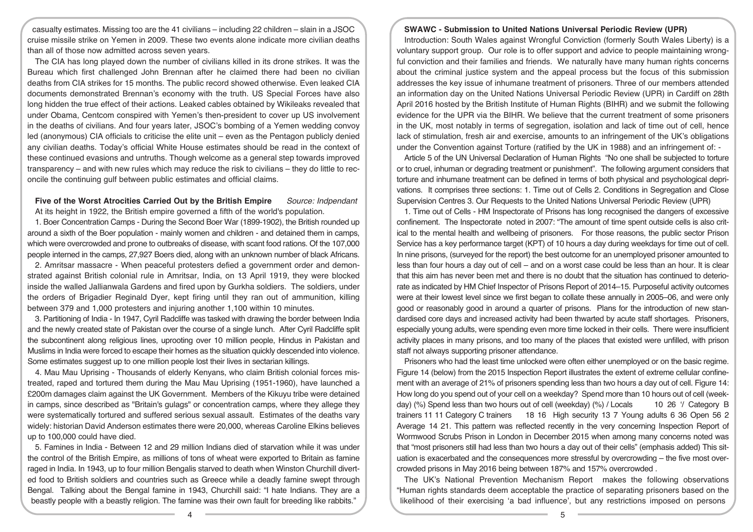casualty estimates. Missing too are the 41 civilians – including 22 children – slain in a JSOC cruise missile strike on Yemen in 2009. These two events alone indicate more civilian deaths than all of those now admitted across seven years.

The CIA has long played down the number of civilians killed in its drone strikes. It was the Bureau which first challenged John Brennan after he claimed there had been no civilian deaths from CIA strikes for 15 months. The public record showed otherwise. Even leaked CIA documents demonstrated Brennan's economy with the truth. US Special Forces have also long hidden the true effect of their actions. Leaked cables obtained by Wikileaks revealed that under Obama, Centcom conspired with Yemen's then-president to cover up US involvement in the deaths of civilians. And four years later, JSOC's bombing of a Yemen wedding convoy led (anonymous) CIA officials to criticise the elite unit – even as the Pentagon publicly denied any civilian deaths. Today's official White House estimates should be read in the context of these continued evasions and untruths. Though welcome as a general step towards improved transparency – and with new rules which may reduce the risk to civilians – they do little to reconcile the continuing gulf between public estimates and official claims.

**Five of the Worst Atrocities Carried Out by the British Empire** *Source: Indpendant* At its height in 1922, the British empire governed a fifth of the world's population.

1. Boer Concentration Camps - During the Second Boer War (1899-1902), the British rounded up around a sixth of the Boer population - mainly women and children - and detained them in camps, which were overcrowded and prone to outbreaks of disease, with scant food rations. Of the 107,000 people interned in the camps, 27,927 Boers died, along with an unknown number of black Africans.

2. Amritsar massacre - When peaceful protesters defied a government order and demonstrated against British colonial rule in Amritsar, India, on 13 April 1919, they were blocked inside the walled Jallianwala Gardens and fired upon by Gurkha soldiers. The soldiers, under the orders of Brigadier Reginald Dyer, kept firing until they ran out of ammunition, killing between 379 and 1,000 protesters and injuring another 1,100 within 10 minutes.

3. Partitioning of India - In 1947, Cyril Radcliffe was tasked with drawing the border between India and the newly created state of Pakistan over the course of a single lunch. After Cyril Radcliffe split the subcontinent along religious lines, uprooting over 10 million people, Hindus in Pakistan and Muslims in India were forced to escape their homes as the situation quickly descended into violence. Some estimates suggest up to one million people lost their lives in sectarian killings.

4. Mau Mau Uprising - Thousands of elderly Kenyans, who claim British colonial forces mistreated, raped and tortured them during the Mau Mau Uprising (1951-1960), have launched a £200m damages claim against the UK Government. Members of the Kikuyu tribe were detained in camps, since described as "Britain's gulags" or concentration camps, where they allege they were systematically tortured and suffered serious sexual assault. Estimates of the deaths vary widely: historian David Anderson estimates there were 20,000, whereas Caroline Elkins believes up to 100,000 could have died.

5. Famines in India - Between 12 and 29 million Indians died of starvation while it was under the control of the British Empire, as millions of tons of wheat were exported to Britain as famine raged in India. In 1943, up to four million Bengalis starved to death when Winston Churchill diverted food to British soldiers and countries such as Greece while a deadly famine swept through Bengal. Talking about the Bengal famine in 1943, Churchill said: "I hate Indians. They are a beastly people with a beastly religion. The famine was their own fault for breeding like rabbits."

### **SWAWC - Submission to United Nations Universal Periodic Review (UPR)**

Introduction: South Wales against Wrongful Conviction (formerly South Wales Liberty) is a voluntary support group. Our role is to offer support and advice to people maintaining wrongful conviction and their families and friends. We naturally have many human rights concerns about the criminal justice system and the appeal process but the focus of this submission addresses the key issue of inhumane treatment of prisoners. Three of our members attended an information day on the United Nations Universal Periodic Review (UPR) in Cardiff on 28th April 2016 hosted by the British Institute of Human Rights (BIHR) and we submit the following evidence for the UPR via the BIHR. We believe that the current treatment of some prisoners in the UK, most notably in terms of segregation, isolation and lack of time out of cell, hence lack of stimulation, fresh air and exercise, amounts to an infringement of the UK's obligations under the Convention against Torture (ratified by the UK in 1988) and an infringement of: -

Article 5 of the UN Universal Declaration of Human Rights "No one shall be subjected to torture or to cruel, inhuman or degrading treatment or punishment". The following argument considers that torture and inhumane treatment can be defined in terms of both physical and psychological deprivations. It comprises three sections: 1. Time out of Cells 2. Conditions in Segregation and Close Supervision Centres 3. Our Requests to the United Nations Universal Periodic Review (UPR)

1. Time out of Cells - HM Inspectorate of Prisons has long recognised the dangers of excessive confinement. The Inspectorate noted in 2007: "The amount of time spent outside cells is also critical to the mental health and wellbeing of prisoners. For those reasons, the public sector Prison Service has a key performance target (KPT) of 10 hours a day during weekdays for time out of cell. In nine prisons, (surveyed for the report) the best outcome for an unemployed prisoner amounted to less than four hours a day out of cell – and on a worst case could be less than an hour. It is clear that this aim has never been met and there is no doubt that the situation has continued to deteriorate as indicated by HM Chief Inspector of Prisons Report of 2014–15. Purposeful activity outcomes were at their lowest level since we first began to collate these annually in 2005–06, and were only good or reasonably good in around a quarter of prisons. Plans for the introduction of new standardised core days and increased activity had been thwarted by acute staff shortages. Prisoners, especially young adults, were spending even more time locked in their cells. There were insufficient activity places in many prisons, and too many of the places that existed were unfilled, with prison staff not always supporting prisoner attendance.

Prisoners who had the least time unlocked were often either unemployed or on the basic regime. Figure 14 (below) from the 2015 Inspection Report illustrates the extent of extreme cellular confinement with an average of 21% of prisoners spending less than two hours a day out of cell. Figure 14: How long do you spend out of your cell on a weekday? Spend more than 10 hours out of cell (weekday) (%) Spend less than two hours out of cell (weekday) (%) / Locals 10 26 '/ Category B trainers 11 11 Category C trainers 18 16 High security 13 7 Young adults 6 36 Open 56 2 Average 14 21. This pattern was reflected recently in the very concerning Inspection Report of Wormwood Scrubs Prison in London in December 2015 when among many concerns noted was that "most prisoners still had less than two hours a day out of their cells" (emphasis added) This situation is exacerbated and the consequences more stressful by overcrowding – the five most overcrowded prisons in May 2016 being between 187% and 157% overcrowded .

The UK's National Prevention Mechanism Report makes the following observations "Human rights standards deem acceptable the practice of separating prisoners based on the likelihood of their exercising 'a bad influence', but any restrictions imposed on persons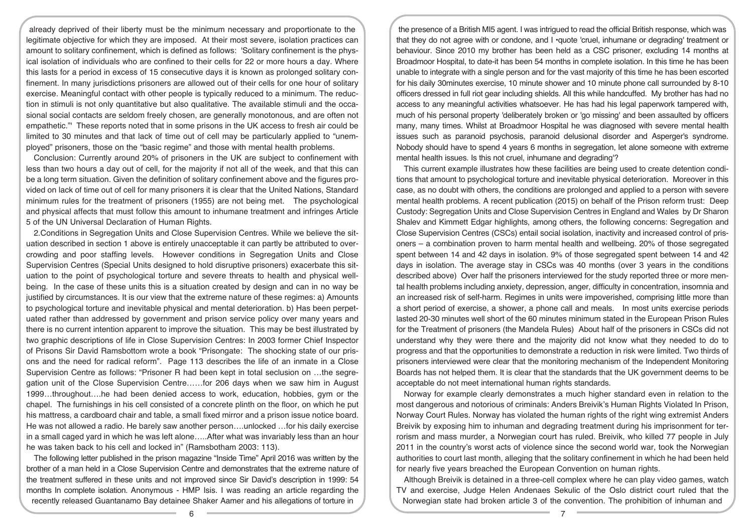already deprived of their liberty must be the minimum necessary and proportionate to the legitimate objective for which they are imposed. At their most severe, isolation practices can amount to solitary confinement, which is defined as follows: 'Solitary confinement is the physical isolation of individuals who are confined to their cells for 22 or more hours a day. Where this lasts for a period in excess of 15 consecutive days it is known as prolonged solitary confinement. In many jurisdictions prisoners are allowed out of their cells for one hour of solitary exercise. Meaningful contact with other people is typically reduced to a minimum. The reduction in stimuli is not only quantitative but also qualitative. The available stimuli and the occasional social contacts are seldom freely chosen, are generally monotonous, and are often not empathetic."' These reports noted that in some prisons in the UK access to fresh air could be limited to 30 minutes and that lack of time out of cell may be particularly applied to "unemployed" prisoners, those on the "basic regime" and those with mental health problems.

Conclusion: Currently around 20% of prisoners in the UK are subject to confinement with less than two hours a day out of cell, for the majority if not all of the week, and that this can be a long term situation. Given the definition of solitary confinement above and the figures provided on lack of time out of cell for many prisoners it is clear that the United Nations, Standard minimum rules for the treatment of prisoners (1955) are not being met. The psychological and physical affects that must follow this amount to inhumane treatment and infringes Article 5 of the UN Universal Declaration of Human Rights.

2.Conditions in Segregation Units and Close Supervision Centres. While we believe the situation described in section 1 above is entirely unacceptable it can partly be attributed to overcrowding and poor staffing levels. However conditions in Segregation Units and Close Supervision Centres (Special Units designed to hold disruptive prisoners) exacerbate this situation to the point of psychological torture and severe threats to health and physical wellbeing. In the case of these units this is a situation created by design and can in no way be justified by circumstances. It is our view that the extreme nature of these regimes: a) Amounts to psychological torture and inevitable physical and mental deterioration. b) Has been perpetuated rather than addressed by government and prison service policy over many years and there is no current intention apparent to improve the situation. This may be best illustrated by two graphic descriptions of life in Close Supervision Centres: In 2003 former Chief Inspector of Prisons Sir David Ramsbottom wrote a book "Prisongate: The shocking state of our prisons and the need for radical reform". Page 113 describes the life of an inmate in a Close Supervision Centre as follows: "Prisoner R had been kept in total seclusion on …the segregation unit of the Close Supervision Centre……for 206 days when we saw him in August 1999…throughout….he had been denied access to work, education, hobbies, gym or the chapel. The furnishings in his cell consisted of a concrete plinth on the floor, on which he put his mattress, a cardboard chair and table, a small fixed mirror and a prison issue notice board. He was not allowed a radio. He barely saw another person….unlocked …for his daily exercise in a small caged yard in which he was left alone…..After what was invariably less than an hour he was taken back to his cell and locked in" (Ramsbotham 2003: 113).

The following letter published in the prison magazine "Inside Time" April 2016 was written by the brother of a man held in a Close Supervision Centre and demonstrates that the extreme nature of the treatment suffered in these units and not improved since Sir David's description in 1999: 54 months In complete isolation. Anonymous - HMP Isis. I was reading an article regarding the recently released Guantanamo Bay detainee Shaker Aamer and his allegations of torture in

the presence of a British MI5 agent. I was intrigued to read the official British response, which was that they do not agree with or condone, and I •quote 'cruel, inhumane or degrading' treatment or behaviour. Since 2010 my brother has been held as a CSC prisoner, excluding 14 months at Broadmoor Hospital, to date-it has been 54 months in complete isolation. In this time he has been unable to integrate with a single person and for the vast majority of this time he has been escorted for his daily 30minutes exercise, 10 minute shower and 10 minute phone call surrounded by 8-10 officers dressed in full riot gear including shields. All this while handcuffed. My brother has had no access to any meaningful activities whatsoever. He has had his legal paperwork tampered with, much of his personal property 'deliberately broken or 'go missing' and been assaulted by officers many, many times. Whilst at Broadmoor Hospital he was diagnosed with severe mental health issues such as paranoid psychosis, paranoid delusional disorder and Asperger's syndrome. Nobody should have to spend 4 years 6 months in segregation, let alone someone with extreme mental health issues. Is this not cruel, inhumane and degrading'?

This current example illustrates how these facilities are being used to create detention conditions that amount to psychological torture and inevitable physical deterioration. Moreover in this case, as no doubt with others, the conditions are prolonged and applied to a person with severe mental health problems. A recent publication (2015) on behalf of the Prison reform trust: Deep Custody: Segregation Units and Close Supervision Centres in England and Wales by Dr Sharon Shalev and Kimmett Edgar highlights, among others, the following concerns: Segregation and Close Supervision Centres (CSCs) entail social isolation, inactivity and increased control of prisoners – a combination proven to harm mental health and wellbeing. 20% of those segregated spent between 14 and 42 days in isolation. 9% of those segregated spent between 14 and 42 days in isolation. The average stay in CSCs was 40 months (over 3 years in the conditions described above) Over half the prisoners interviewed for the study reported three or more mental health problems including anxiety, depression, anger, difficulty in concentration, insomnia and an increased risk of self-harm. Regimes in units were impoverished, comprising little more than a short period of exercise, a shower, a phone call and meals. In most units exercise periods lasted 20-30 minutes well short of the 60 minutes minimum stated in the European Prison Rules for the Treatment of prisoners (the Mandela Rules) About half of the prisoners in CSCs did not understand why they were there and the majority did not know what they needed to do to progress and that the opportunities to demonstrate a reduction in risk were limited. Two thirds of prisoners interviewed were clear that the monitoring mechanism of the Independent Monitoring Boards has not helped them. It is clear that the standards that the UK government deems to be acceptable do not meet international human rights standards.

Norway for example clearly demonstrates a much higher standard even in relation to the most dangerous and notorious of criminals: Anders Breivik's Human Rights Violated In Prison, Norway Court Rules. Norway has violated the human rights of the right wing extremist Anders Breivik by exposing him to inhuman and degrading treatment during his imprisonment for terrorism and mass murder, a Norwegian court has ruled. Breivik, who killed 77 people in July 2011 in the country's worst acts of violence since the second world war, took the Norwegian authorities to court last month, alleging that the solitary confinement in which he had been held for nearly five years breached the European Convention on human rights.

Although Breivik is detained in a three-cell complex where he can play video games, watch TV and exercise, Judge Helen Andenaes Sekulic of the Oslo district court ruled that the Norwegian state had broken article 3 of the convention. The prohibition of inhuman and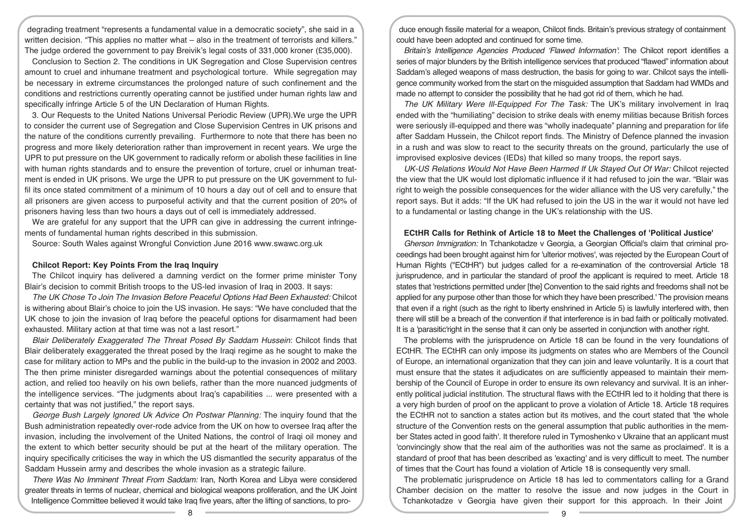degrading treatment "represents a fundamental value in a democratic society", she said in a written decision. "This applies no matter what – also in the treatment of terrorists and killers." The judge ordered the government to pay Breivik's legal costs of 331,000 kroner (£35,000).

Conclusion to Section 2. The conditions in UK Segregation and Close Supervision centres amount to cruel and inhumane treatment and psychological torture. While segregation may be necessary in extreme circumstances the prolonged nature of such confinement and the conditions and restrictions currently operating cannot be justified under human rights law and specifically infringe Article 5 of the UN Declaration of Human Rights.

3. Our Requests to the United Nations Universal Periodic Review (UPR).We urge the UPR to consider the current use of Segregation and Close Supervision Centres in UK prisons and the nature of the conditions currently prevailing. Furthermore to note that there has been no progress and more likely deterioration rather than improvement in recent years. We urge the UPR to put pressure on the UK government to radically reform or abolish these facilities in line with human rights standards and to ensure the prevention of torture, cruel or inhuman treatment is ended in UK prisons. We urge the UPR to put pressure on the UK government to fulfil its once stated commitment of a minimum of 10 hours a day out of cell and to ensure that all prisoners are given access to purposeful activity and that the current position of 20% of prisoners having less than two hours a days out of cell is immediately addressed.

We are grateful for any support that the UPR can give in addressing the current infringements of fundamental human rights described in this submission.

Source: South Wales against Wrongful Conviction June 2016 www.swawc.org.uk

# **Chilcot Report: Key Points From the Iraq Inquiry**

The Chilcot inquiry has delivered a damning verdict on the former prime minister Tony Blair's decision to commit British troops to the US-led invasion of Iraq in 2003. It says:

*The UK Chose To Join The Invasion Before Peaceful Options Had Been Exhausted:* Chilcot is withering about Blair's choice to join the US invasion. He says: "We have concluded that the UK chose to join the invasion of Iraq before the peaceful options for disarmament had been exhausted. Military action at that time was not a last resort."

*Blair Deliberately Exaggerated The Threat Posed By Saddam Hussein*: Chilcot finds that Blair deliberately exaggerated the threat posed by the Iraqi regime as he sought to make the case for military action to MPs and the public in the build-up to the invasion in 2002 and 2003. The then prime minister disregarded warnings about the potential consequences of military action, and relied too heavily on his own beliefs, rather than the more nuanced judgments of the intelligence services. "The judgments about Iraq's capabilities ... were presented with a certainty that was not justified," the report says.

*George Bush Largely Ignored Uk Advice On Postwar Planning:* The inquiry found that the Bush administration repeatedly over-rode advice from the UK on how to oversee Iraq after the invasion, including the involvement of the United Nations, the control of Iraqi oil money and the extent to which better security should be put at the heart of the military operation. The inquiry specifically criticises the way in which the US dismantled the security apparatus of the Saddam Hussein army and describes the whole invasion as a strategic failure.

*There Was No Imminent Threat From Saddam:* Iran, North Korea and Libya were considered greater threats in terms of nuclear, chemical and biological weapons proliferation, and the UK Joint Intelligence Committee believed it would take Iraq five years, after the lifting of sanctions, to pro-

duce enough fissile material for a weapon, Chilcot finds. Britain's previous strategy of containment could have been adopted and continued for some time.

*Britain's Intelligence Agencies Produced 'Flawed Information'*: The Chilcot report identifies a series of major blunders by the British intelligence services that produced "flawed" information about Saddam's alleged weapons of mass destruction, the basis for going to war. Chilcot says the intelligence community worked from the start on the misguided assumption that Saddam had WMDs and made no attempt to consider the possibility that he had got rid of them, which he had.

*The UK Military Were Ill-Equipped For The Task:* The UK's military involvement in Iraq ended with the "humiliating" decision to strike deals with enemy militias because British forces were seriously ill-equipped and there was "wholly inadequate" planning and preparation for life after Saddam Hussein, the Chilcot report finds. The Ministry of Defence planned the invasion in a rush and was slow to react to the security threats on the ground, particularly the use of improvised explosive devices (IEDs) that killed so many troops, the report says.

*UK-US Relations Would Not Have Been Harmed If Uk Stayed Out Of War:* Chilcot rejected the view that the UK would lost diplomatic influence if it had refused to join the war. "Blair was right to weigh the possible consequences for the wider alliance with the US very carefully," the report says. But it adds: "If the UK had refused to join the US in the war it would not have led to a fundamental or lasting change in the UK's relationship with the US.

# **ECtHR Calls for Rethink of Article 18 to Meet the Challenges of 'Political Justice'**

*Gherson Immigration:* In Tchankotadze v Georgia, a Georgian Official's claim that criminal proceedings had been brought against him for 'ulterior motives', was rejected by the European Court of Human Rights ("ECtHR") but judges called for a re-examination of the controversial Article 18 jurisprudence, and in particular the standard of proof the applicant is required to meet. Article 18 states that 'restrictions permitted under [the] Convention to the said rights and freedoms shall not be applied for any purpose other than those for which they have been prescribed.' The provision means that even if a right (such as the right to liberty enshrined in Article 5) is lawfully interfered with, then there will still be a breach of the convention if that interference is in bad faith or politically motivated. It is a 'parasitic'right in the sense that it can only be asserted in conjunction with another right.

The problems with the jurisprudence on Article 18 can be found in the very foundations of ECtHR. The ECtHR can only impose its judgments on states who are Members of the Council of Europe, an international organization that they can join and leave voluntarily. It is a court that must ensure that the states it adjudicates on are sufficiently appeased to maintain their membership of the Council of Europe in order to ensure its own relevancy and survival. It is an inherently political judicial institution. The structural flaws with the ECtHR led to it holding that there is a very high burden of proof on the applicant to prove a violation of Article 18. Article 18 requires the ECtHR not to sanction a states action but its motives, and the court stated that 'the whole structure of the Convention rests on the general assumption that public authorities in the member States acted in good faith'. It therefore ruled in Tymoshenko v Ukraine that an applicant must 'convincingly show that the real aim of the authorities was not the same as proclaimed'. It is a standard of proof that has been described as 'exacting' and is very difficult to meet. The number of times that the Court has found a violation of Article 18 is consequently very small.

The problematic jurisprudence on Article 18 has led to commentators calling for a Grand Chamber decision on the matter to resolve the issue and now judges in the Court in Tchankotadze v Georgia have given their support for this approach. In their Joint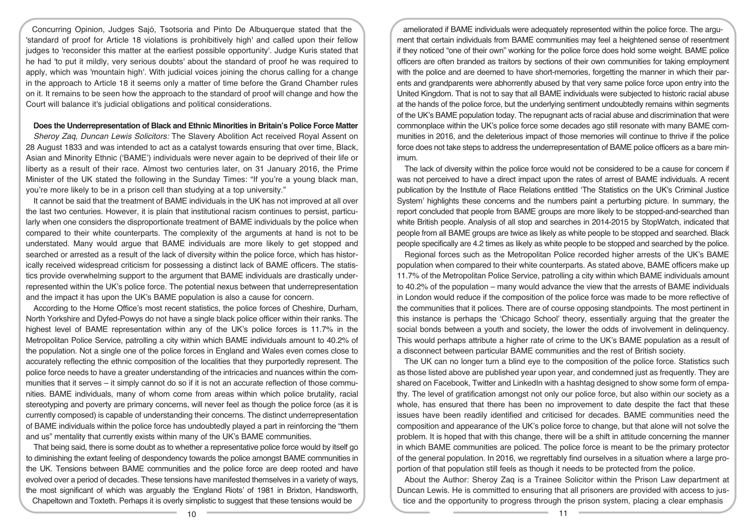Concurring Opinion, Judges Sajó, Tsotsoria and Pinto De Albuquerque stated that the 'standard of proof for Article 18 violations is prohibitively high' and called upon their fellow judges to 'reconsider this matter at the earliest possible opportunity'. Judge Kuris stated that he had 'to put it mildly, very serious doubts' about the standard of proof he was required to apply, which was 'mountain high'. With judicial voices joining the chorus calling for a change in the approach to Article 18 it seems only a matter of time before the Grand Chamber rules on it. It remains to be seen how the approach to the standard of proof will change and how the Court will balance it's judicial obligations and political considerations.

#### **Does the Underrepresentation of Black and Ethnic Minorities in Britain's Police Force Matter**

*Sheroy Zaq, Duncan Lewis Solicitors:* The Slavery Abolition Act received Royal Assent on 28 August 1833 and was intended to act as a catalyst towards ensuring that over time, Black, Asian and Minority Ethnic ('BAME') individuals were never again to be deprived of their life or liberty as a result of their race. Almost two centuries later, on 31 January 2016, the Prime Minister of the UK stated the following in the Sunday Times: "If you're a young black man, you're more likely to be in a prison cell than studying at a top university."

It cannot be said that the treatment of BAME individuals in the UK has not improved at all over the last two centuries. However, it is plain that institutional racism continues to persist, particularly when one considers the disproportionate treatment of BAME individuals by the police when compared to their white counterparts. The complexity of the arguments at hand is not to be understated. Many would argue that BAME individuals are more likely to get stopped and searched or arrested as a result of the lack of diversity within the police force, which has historically received widespread criticism for possessing a distinct lack of BAME officers. The statistics provide overwhelming support to the argument that BAME individuals are drastically underrepresented within the UK's police force. The potential nexus between that underrepresentation and the impact it has upon the UK's BAME population is also a cause for concern.

According to the Home Office's most recent statistics, the police forces of Cheshire, Durham, North Yorkshire and Dyfed-Powys do not have a single black police officer within their ranks. The highest level of BAME representation within any of the UK's police forces is 11.7% in the Metropolitan Police Service, patrolling a city within which BAME individuals amount to 40.2% of the population. Not a single one of the police forces in England and Wales even comes close to accurately reflecting the ethnic composition of the localities that they purportedly represent. The police force needs to have a greater understanding of the intricacies and nuances within the communities that it serves – it simply cannot do so if it is not an accurate reflection of those communities. BAME individuals, many of whom come from areas within which police brutality, racial stereotyping and poverty are primary concerns, will never feel as though the police force (as it is currently composed) is capable of understanding their concerns. The distinct underrepresentation of BAME individuals within the police force has undoubtedly played a part in reinforcing the "them and us" mentality that currently exists within many of the UK's BAME communities.

That being said, there is some doubt as to whether a representative police force would by itself go to diminishing the extant feeling of despondency towards the police amongst BAME communities in the UK. Tensions between BAME communities and the police force are deep rooted and have evolved over a period of decades. These tensions have manifested themselves in a variety of ways, the most significant of which was arguably the 'England Riots' of 1981 in Brixton, Handsworth, Chapeltown and Toxteth. Perhaps it is overly simplistic to suggest that these tensions would be

ameliorated if BAME individuals were adequately represented within the police force. The argument that certain individuals from BAME communities may feel a heightened sense of resentment if they noticed "one of their own" working for the police force does hold some weight. BAME police officers are often branded as traitors by sections of their own communities for taking employment with the police and are deemed to have short-memories, forgetting the manner in which their parents and grandparents were abhorrently abused by that very same police force upon entry into the United Kingdom. That is not to say that all BAME individuals were subjected to historic racial abuse at the hands of the police force, but the underlying sentiment undoubtedly remains within segments of the UK's BAME population today. The repugnant acts of racial abuse and discrimination that were commonplace within the UK's police force some decades ago still resonate with many BAME communities in 2016, and the deleterious impact of those memories will continue to thrive if the police force does not take steps to address the underrepresentation of BAME police officers as a bare minimum.

The lack of diversity within the police force would not be considered to be a cause for concern if was not perceived to have a direct impact upon the rates of arrest of BAME individuals. A recent publication by the Institute of Race Relations entitled 'The Statistics on the UK's Criminal Justice System' highlights these concerns and the numbers paint a perturbing picture. In summary, the report concluded that people from BAME groups are more likely to be stopped-and-searched than white British people. Analysis of all stop and searches in 2014-2015 by StopWatch, indicated that people from all BAME groups are twice as likely as white people to be stopped and searched. Black people specifically are 4.2 times as likely as white people to be stopped and searched by the police.

Regional forces such as the Metropolitan Police recorded higher arrests of the UK's BAME population when compared to their white counterparts. As stated above, BAME officers make up 11.7% of the Metropolitan Police Service, patrolling a city within which BAME individuals amount to 40.2% of the population – many would advance the view that the arrests of BAME individuals in London would reduce if the composition of the police force was made to be more reflective of the communities that it polices. There are of course opposing standpoints. The most pertinent in this instance is perhaps the 'Chicago School' theory, essentially arguing that the greater the social bonds between a youth and society, the lower the odds of involvement in delinquency. This would perhaps attribute a higher rate of crime to the UK's BAME population as a result of a disconnect between particular BAME communities and the rest of British society.

The UK can no longer turn a blind eye to the composition of the police force. Statistics such as those listed above are published year upon year, and condemned just as frequently. They are shared on Facebook, Twitter and LinkedIn with a hashtag designed to show some form of empathy. The level of gratification amongst not only our police force, but also within our society as a whole, has ensured that there has been no improvement to date despite the fact that these issues have been readily identified and criticised for decades. BAME communities need the composition and appearance of the UK's police force to change, but that alone will not solve the problem. It is hoped that with this change, there will be a shift in attitude concerning the manner in which BAME communities are policed. The police force is meant to be the primary protector of the general population. In 2016, we regrettably find ourselves in a situation where a large proportion of that population still feels as though it needs to be protected from the police.

About the Author: Sheroy Zaq is a Trainee Solicitor within the Prison Law department at Duncan Lewis. He is committed to ensuring that all prisoners are provided with access to justice and the opportunity to progress through the prison system, placing a clear emphasis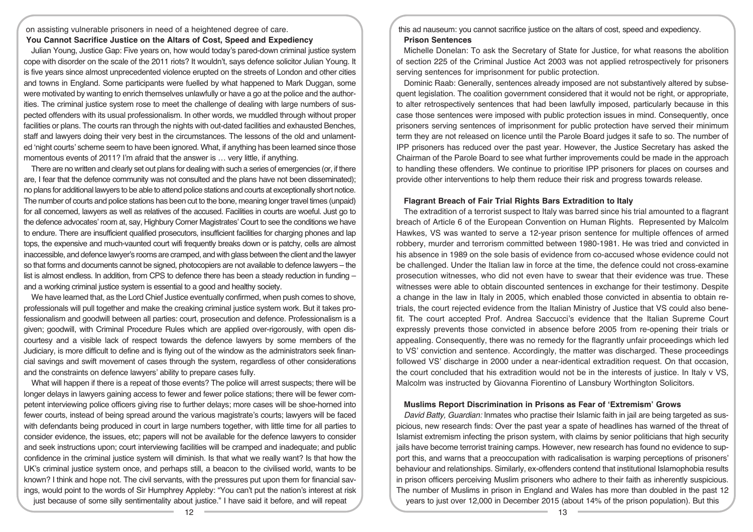on assisting vulnerable prisoners in need of a heightened degree of care. **You Cannot Sacrifice Justice on the Altars of Cost, Speed and Expediency**

Julian Young, Justice Gap: Five years on, how would today's pared-down criminal justice system cope with disorder on the scale of the 2011 riots? It wouldn't, says defence solicitor Julian Young. It is five years since almost unprecedented violence erupted on the streets of London and other cities and towns in England. Some participants were fuelled by what happened to Mark Duggan, some were motivated by wanting to enrich themselves unlawfully or have a go at the police and the authorities. The criminal justice system rose to meet the challenge of dealing with large numbers of suspected offenders with its usual professionalism. In other words, we muddled through without proper facilities or plans. The courts ran through the nights with out-dated facilities and exhausted Benches, staff and lawyers doing their very best in the circumstances. The lessons of the old and unlamented 'night courts' scheme seem to have been ignored. What, if anything has been learned since those momentous events of 2011? I'm afraid that the answer is … very little, if anything.

There are no written and clearly set out plans for dealing with such a series of emergencies (or, if there are, I fear that the defence community was not consulted and the plans have not been disseminated); no plans for additional lawyers to be able to attend police stations and courts at exceptionally short notice. The number of courts and police stations has been cut to the bone, meaning longer travel times (unpaid) for all concerned, lawyers as well as relatives of the accused. Facilities in courts are woeful. Just go to the defence advocates' room at, say, Highbury Corner Magistrates' Court to see the conditions we have to endure. There are insufficient qualified prosecutors, insufficient facilities for charging phones and lap tops, the expensive and much-vaunted court wifi frequently breaks down or is patchy, cells are almost inaccessible, and defence lawyer's rooms are cramped, and with glass between the client and the lawyer so that forms and documents cannot be signed, photocopiers are not available to defence lawyers – the list is almost endless. In addition, from CPS to defence there has been a steady reduction in funding – and a working criminal justice system is essential to a good and healthy society.

We have learned that, as the Lord Chief Justice eventually confirmed, when push comes to shove, professionals will pull together and make the creaking criminal justice system work. But it takes professionalism and goodwill between all parties: court, prosecution and defence. Professionalism is a given; goodwill, with Criminal Procedure Rules which are applied over-rigorously, with open discourtesy and a visible lack of respect towards the defence lawyers by some members of the Judiciary, is more difficult to define and is flying out of the window as the administrators seek financial savings and swift movement of cases through the system, regardless of other considerations and the constraints on defence lawyers' ability to prepare cases fully.

What will happen if there is a repeat of those events? The police will arrest suspects; there will be longer delays in lawyers gaining access to fewer and fewer police stations; there will be fewer competent interviewing police officers giving rise to further delays; more cases will be shoe-horned into fewer courts, instead of being spread around the various magistrate's courts; lawyers will be faced with defendants being produced in court in large numbers together, with little time for all parties to consider evidence, the issues, etc; papers will not be available for the defence lawyers to consider and seek instructions upon; court interviewing facilities will be cramped and inadequate; and public confidence in the criminal justice system will diminish. Is that what we really want? Is that how the UK's criminal justice system once, and perhaps still, a beacon to the civilised world, wants to be known? I think and hope not. The civil servants, with the pressures put upon them for financial savings, would point to the words of Sir Humphrey Appleby: "You can't put the nation's interest at risk just because of some silly sentimentality about justice." I have said it before, and will repeat

this ad nauseum: you cannot sacrifice justice on the altars of cost, speed and expediency. **Prison Sentences**

Michelle Donelan: To ask the Secretary of State for Justice, for what reasons the abolition of section 225 of the Criminal Justice Act 2003 was not applied retrospectively for prisoners serving sentences for imprisonment for public protection.

Dominic Raab: Generally, sentences already imposed are not substantively altered by subsequent legislation. The coalition government considered that it would not be right, or appropriate, to alter retrospectively sentences that had been lawfully imposed, particularly because in this case those sentences were imposed with public protection issues in mind. Consequently, once prisoners serving sentences of imprisonment for public protection have served their minimum term they are not released on licence until the Parole Board judges it safe to so. The number of IPP prisoners has reduced over the past year. However, the Justice Secretary has asked the Chairman of the Parole Board to see what further improvements could be made in the approach to handling these offenders. We continue to prioritise IPP prisoners for places on courses and provide other interventions to help them reduce their risk and progress towards release.

#### **Flagrant Breach of Fair Trial Rights Bars Extradition to Italy**

The extradition of a terrorist suspect to Italy was barred since his trial amounted to a flagrant breach of Article 6 of the European Convention on Human Rights. Represented by Malcolm Hawkes, VS was wanted to serve a 12-year prison sentence for multiple offences of armed robbery, murder and terrorism committed between 1980-1981. He was tried and convicted in his absence in 1989 on the sole basis of evidence from co-accused whose evidence could not be challenged. Under the Italian law in force at the time, the defence could not cross-examine prosecution witnesses, who did not even have to swear that their evidence was true. These witnesses were able to obtain discounted sentences in exchange for their testimony. Despite a change in the law in Italy in 2005, which enabled those convicted in absentia to obtain retrials, the court rejected evidence from the Italian Ministry of Justice that VS could also benefit. The court accepted Prof. Andrea Saccucci's evidence that the Italian Supreme Court expressly prevents those convicted in absence before 2005 from re-opening their trials or appealing. Consequently, there was no remedy for the flagrantly unfair proceedings which led to VS' conviction and sentence. Accordingly, the matter was discharged. These proceedings followed VS' discharge in 2000 under a near-identical extradition request. On that occasion, the court concluded that his extradition would not be in the interests of justice. In Italy v VS, Malcolm was instructed by Giovanna Fiorentino of Lansbury Worthington Solicitors.

# **Muslims Report Discrimination in Prisons as Fear of 'Extremism' Grows**

*David Batty, Guardian:* Inmates who practise their Islamic faith in jail are being targeted as suspicious, new research finds: Over the past year a spate of headlines has warned of the threat of Islamist extremism infecting the prison system, with claims by senior politicians that high security jails have become terrorist training camps. However, new research has found no evidence to support this, and warns that a preoccupation with radicalisation is warping perceptions of prisoners' behaviour and relationships. Similarly, ex-offenders contend that institutional Islamophobia results in prison officers perceiving Muslim prisoners who adhere to their faith as inherently suspicious. The number of Muslims in prison in England and Wales has more than doubled in the past 12 years to just over 12,000 in December 2015 (about 14% of the prison population). But this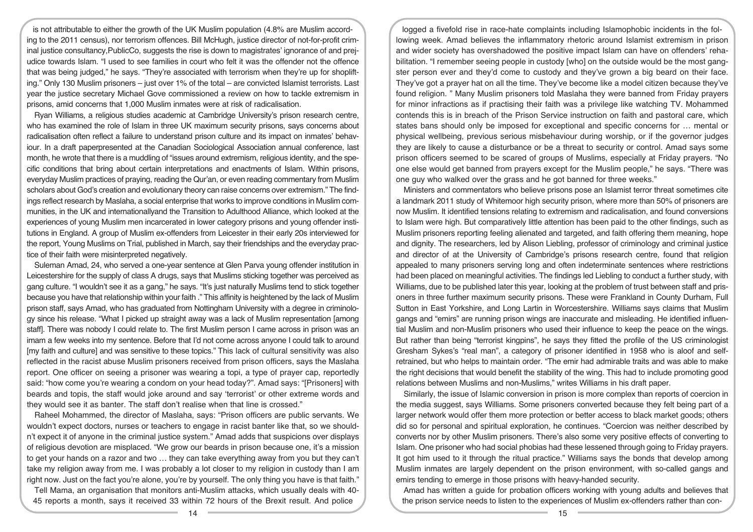is not attributable to either the growth of the UK Muslim population (4.8% are Muslim according to the 2011 census), nor terrorism offences. Bill McHugh, justice director of not-for-profit criminal justice consultancy,PublicCo, suggests the rise is down to magistrates' ignorance of and prejudice towards Islam. "I used to see families in court who felt it was the offender not the offence that was being judged," he says. "They're associated with terrorism when they're up for shoplifting." Only 130 Muslim prisoners – just over 1% of the total – are convicted Islamist terrorists. Last year the justice secretary Michael Gove commissioned a review on how to tackle extremism in prisons, amid concerns that 1,000 Muslim inmates were at risk of radicalisation.

Ryan Williams, a religious studies academic at Cambridge University's prison research centre, who has examined the role of Islam in three UK maximum security prisons, says concerns about radicalisation often reflect a failure to understand prison culture and its impact on inmates' behaviour. In a draft paperpresented at the Canadian Sociological Association annual conference, last month, he wrote that there is a muddling of "issues around extremism, religious identity, and the specific conditions that bring about certain interpretations and enactments of Islam. Within prisons, everyday Muslim practices of praying, reading the Qur'an, or even reading commentary from Muslim scholars about God's creation and evolutionary theory can raise concerns over extremism." The findings reflect research by Maslaha, a social enterprise that works to improve conditions in Muslim communities, in the UK and internationallyand the Transition to Adulthood Alliance, which looked at the experiences of young Muslim men incarcerated in lower category prisons and young offender institutions in England. A group of Muslim ex-offenders from Leicester in their early 20s interviewed for the report, Young Muslims on Trial, published in March, say their friendships and the everyday practice of their faith were misinterpreted negatively.

Suleman Amad, 24, who served a one-year sentence at Glen Parva young offender institution in Leicestershire for the supply of class A drugs, says that Muslims sticking together was perceived as gang culture. "I wouldn't see it as a gang," he says. "It's just naturally Muslims tend to stick together because you have that relationship within your faith ." This affinity is heightened by the lack of Muslim prison staff, says Amad, who has graduated from Nottingham University with a degree in criminology since his release. "What I picked up straight away was a lack of Muslim representation [among staff]. There was nobody I could relate to. The first Muslim person I came across in prison was an imam a few weeks into my sentence. Before that I'd not come across anyone I could talk to around [my faith and culture] and was sensitive to these topics." This lack of cultural sensitivity was also reflected in the racist abuse Muslim prisoners received from prison officers, says the Maslaha report. One officer on seeing a prisoner was wearing a topi, a type of prayer cap, reportedly said: "how come you're wearing a condom on your head today?". Amad says: "[Prisoners] with beards and topis, the staff would joke around and say 'terrorist' or other extreme words and they would see it as banter. The staff don't realise when that line is crossed."

Raheel Mohammed, the director of Maslaha, says: "Prison officers are public servants. We wouldn't expect doctors, nurses or teachers to engage in racist banter like that, so we shouldn't expect it of anyone in the criminal justice system." Amad adds that suspicions over displays of religious devotion are misplaced. "We grow our beards in prison because one, it's a mission to get your hands on a razor and two … they can take everything away from you but they can't take my religion away from me. I was probably a lot closer to my religion in custody than I am right now. Just on the fact you're alone, you're by yourself. The only thing you have is that faith."

Tell Mama, an organisation that monitors anti-Muslim attacks, which usually deals with 40- 45 reports a month, says it received 33 within 72 hours of the Brexit result. And police

logged a fivefold rise in race-hate complaints including Islamophobic incidents in the following week. Amad believes the inflammatory rhetoric around Islamist extremism in prison and wider society has overshadowed the positive impact Islam can have on offenders' rehabilitation. "I remember seeing people in custody [who] on the outside would be the most gangster person ever and they'd come to custody and they've grown a big beard on their face. They've got a prayer hat on all the time. They've become like a model citizen because they've found religion. " Many Muslim prisoners told Maslaha they were banned from Friday prayers for minor infractions as if practising their faith was a privilege like watching TV. Mohammed contends this is in breach of the Prison Service instruction on faith and pastoral care, which states bans should only be imposed for exceptional and specific concerns for … mental or physical wellbeing, previous serious misbehaviour during worship, or if the governor judges they are likely to cause a disturbance or be a threat to security or control. Amad says some prison officers seemed to be scared of groups of Muslims, especially at Friday prayers. "No one else would get banned from prayers except for the Muslim people," he says. "There was one guy who walked over the grass and he got banned for three weeks."

Ministers and commentators who believe prisons pose an Islamist terror threat sometimes cite a landmark 2011 study of Whitemoor high security prison, where more than 50% of prisoners are now Muslim. It identified tensions relating to extremism and radicalisation, and found conversions to Islam were high. But comparatively little attention has been paid to the other findings, such as Muslim prisoners reporting feeling alienated and targeted, and faith offering them meaning, hope and dignity. The researchers, led by Alison Liebling, professor of criminology and criminal justice and director of at the University of Cambridge's prisons research centre, found that religion appealed to many prisoners serving long and often indeterminate sentences where restrictions had been placed on meaningful activities. The findings led Liebling to conduct a further study, with Williams, due to be published later this year, looking at the problem of trust between staff and prisoners in three further maximum security prisons. These were Frankland in County Durham, Full Sutton in East Yorkshire, and Long Lartin in Worcestershire. Williams says claims that Muslim gangs and "emirs" are running prison wings are inaccurate and misleading. He identified influential Muslim and non-Muslim prisoners who used their influence to keep the peace on the wings. But rather than being "terrorist kingpins", he says they fitted the profile of the US criminologist Gresham Sykes's "real man", a category of prisoner identified in 1958 who is aloof and selfretrained, but who helps to maintain order. "The emir had admirable traits and was able to make the right decisions that would benefit the stability of the wing. This had to include promoting good relations between Muslims and non-Muslims," writes Williams in his draft paper.

Similarly, the issue of Islamic conversion in prison is more complex than reports of coercion in the media suggest, says Williams. Some prisoners converted because they felt being part of a larger network would offer them more protection or better access to black market goods; others did so for personal and spiritual exploration, he continues. "Coercion was neither described by converts nor by other Muslim prisoners. There's also some very positive effects of converting to Islam. One prisoner who had social phobias had these lessened through going to Friday prayers. It got him used to it through the ritual practice." Williams says the bonds that develop among Muslim inmates are largely dependent on the prison environment, with so-called gangs and emirs tending to emerge in those prisons with heavy-handed security.

Amad has written a guide for probation officers working with young adults and believes that the prison service needs to listen to the experiences of Muslim ex-offenders rather than con-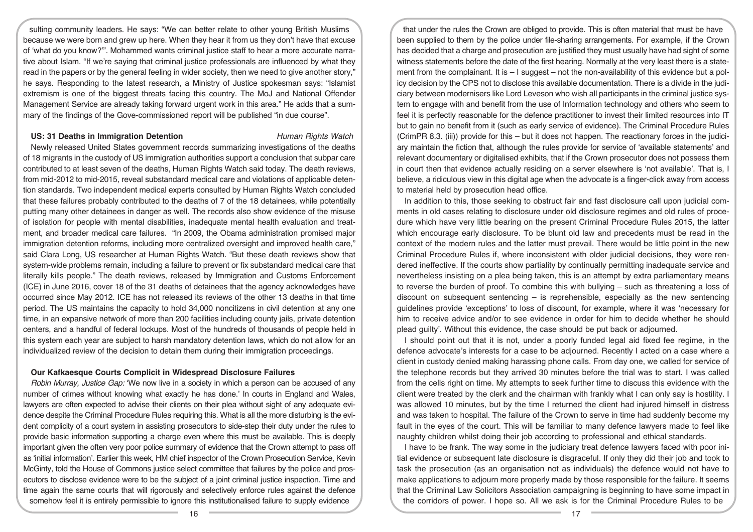sulting community leaders. He says: "We can better relate to other young British Muslims because we were born and grew up here. When they hear it from us they don't have that excuse of 'what do you know?'". Mohammed wants criminal justice staff to hear a more accurate narrative about Islam. "If we're saying that criminal justice professionals are influenced by what they read in the papers or by the general feeling in wider society, then we need to give another story," he says. Responding to the latest research, a Ministry of Justice spokesman says: "Islamist extremism is one of the biggest threats facing this country. The MoJ and National Offender Management Service are already taking forward urgent work in this area." He adds that a summary of the findings of the Gove-commissioned report will be published "in due course".

# **US: 31 Deaths in Immigration Detention** *Human Rights Watch*

Newly released United States government records summarizing investigations of the deaths of 18 migrants in the custody of US immigration authorities support a conclusion that subpar care contributed to at least seven of the deaths, Human Rights Watch said today. The death reviews, from mid-2012 to mid-2015, reveal substandard medical care and violations of applicable detention standards. Two independent medical experts consulted by Human Rights Watch concluded that these failures probably contributed to the deaths of 7 of the 18 detainees, while potentially putting many other detainees in danger as well. The records also show evidence of the misuse of isolation for people with mental disabilities, inadequate mental health evaluation and treatment, and broader medical care failures. "In 2009, the Obama administration promised major immigration detention reforms, including more centralized oversight and improved health care," said Clara Long, US researcher at Human Rights Watch. "But these death reviews show that system-wide problems remain, including a failure to prevent or fix substandard medical care that literally kills people." The death reviews, released by Immigration and Customs Enforcement (ICE) in June 2016, cover 18 of the 31 deaths of detainees that the agency acknowledges have occurred since May 2012. ICE has not released its reviews of the other 13 deaths in that time period. The US maintains the capacity to hold 34,000 noncitizens in civil detention at any one time, in an expansive network of more than 200 facilities including county jails, private detention centers, and a handful of federal lockups. Most of the hundreds of thousands of people held in this system each year are subject to harsh mandatory detention laws, which do not allow for an individualized review of the decision to detain them during their immigration proceedings.

# **Our Kafkaesque Courts Complicit in Widespread Disclosure Failures**

*Robin Murray, Justice Gap:* 'We now live in a society in which a person can be accused of any number of crimes without knowing what exactly he has done.' In courts in England and Wales, lawyers are often expected to advise their clients on their plea without sight of any adequate evidence despite the Criminal Procedure Rules requiring this. What is all the more disturbing is the evident complicity of a court system in assisting prosecutors to side-step their duty under the rules to provide basic information supporting a charge even where this must be available. This is deeply important given the often very poor police summary of evidence that the Crown attempt to pass off as 'initial information'. Earlier this week, HM chief inspector of the Crown Prosecution Service, Kevin McGinty, told the House of Commons justice select committee that failures by the police and prosecutors to disclose evidence were to be the subject of a joint criminal justice inspection. Time and time again the same courts that will rigorously and selectively enforce rules against the defence somehow feel it is entirely permissible to ignore this institutionalised failure to supply evidence

that under the rules the Crown are obliged to provide. This is often material that must be have been supplied to them by the police under file-sharing arrangements. For example, if the Crown has decided that a charge and prosecution are justified they must usually have had sight of some witness statements before the date of the first hearing. Normally at the very least there is a statement from the complainant. It is  $-1$  suggest – not the non-availability of this evidence but a policy decision by the CPS not to disclose this available documentation. There is a divide in the judiciary between modernisers like Lord Leveson who wish all participants in the criminal justice system to engage with and benefit from the use of Information technology and others who seem to feel it is perfectly reasonable for the defence practitioner to invest their limited resources into IT but to gain no benefit from it (such as early service of evidence). The Criminal Procedure Rules (CrimPR 8.3. (iii)) provide for this – but it does not happen. The reactionary forces in the judiciary maintain the fiction that, although the rules provide for service of 'available statements' and relevant documentary or digitalised exhibits, that if the Crown prosecutor does not possess them in court then that evidence actually residing on a server elsewhere is 'not available'. That is, I believe, a ridiculous view in this digital age when the advocate is a finger-click away from access to material held by prosecution head office.

In addition to this, those seeking to obstruct fair and fast disclosure call upon judicial comments in old cases relating to disclosure under old disclosure regimes and old rules of procedure which have very little bearing on the present Criminal Procedure Rules 2015, the latter which encourage early disclosure. To be blunt old law and precedents must be read in the context of the modern rules and the latter must prevail. There would be little point in the new Criminal Procedure Rules if, where inconsistent with older judicial decisions, they were rendered ineffective. If the courts show partiality by continually permitting inadequate service and nevertheless insisting on a plea being taken, this is an attempt by extra parliamentary means to reverse the burden of proof. To combine this with bullying – such as threatening a loss of discount on subsequent sentencing  $-$  is reprehensible, especially as the new sentencing guidelines provide 'exceptions' to loss of discount, for example, where it was 'necessary for him to receive advice and/or to see evidence in order for him to decide whether he should plead guilty'. Without this evidence, the case should be put back or adjourned.

I should point out that it is not, under a poorly funded legal aid fixed fee regime, in the defence advocate's interests for a case to be adjourned. Recently I acted on a case where a client in custody denied making harassing phone calls. From day one, we called for service of the telephone records but they arrived 30 minutes before the trial was to start. I was called from the cells right on time. My attempts to seek further time to discuss this evidence with the client were treated by the clerk and the chairman with frankly what I can only say is hostility. I was allowed 10 minutes, but by the time I returned the client had injured himself in distress and was taken to hospital. The failure of the Crown to serve in time had suddenly become my fault in the eyes of the court. This will be familiar to many defence lawyers made to feel like naughty children whilst doing their job according to professional and ethical standards.

I have to be frank. The way some in the judiciary treat defence lawyers faced with poor initial evidence or subsequent late disclosure is disgraceful. If only they did their job and took to task the prosecution (as an organisation not as individuals) the defence would not have to make applications to adjourn more properly made by those responsible for the failure. It seems that the Criminal Law Solicitors Association campaigning is beginning to have some impact in the corridors of power. I hope so. All we ask is for the Criminal Procedure Rules to be